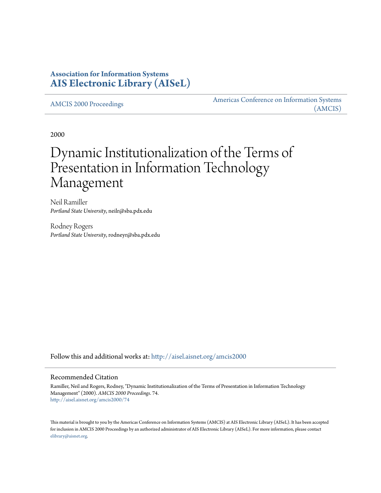## **Association for Information Systems [AIS Electronic Library \(AISeL\)](http://aisel.aisnet.org?utm_source=aisel.aisnet.org%2Famcis2000%2F74&utm_medium=PDF&utm_campaign=PDFCoverPages)**

[AMCIS 2000 Proceedings](http://aisel.aisnet.org/amcis2000?utm_source=aisel.aisnet.org%2Famcis2000%2F74&utm_medium=PDF&utm_campaign=PDFCoverPages)

[Americas Conference on Information Systems](http://aisel.aisnet.org/amcis?utm_source=aisel.aisnet.org%2Famcis2000%2F74&utm_medium=PDF&utm_campaign=PDFCoverPages) [\(AMCIS\)](http://aisel.aisnet.org/amcis?utm_source=aisel.aisnet.org%2Famcis2000%2F74&utm_medium=PDF&utm_campaign=PDFCoverPages)

2000

# Dynamic Institutionalization of the Terms of Presentation in Information Technology Management

Neil Ramiller *Portland State University*, neilr@sba.pdx.edu

Rodney Rogers *Portland State University*, rodneyr@sba.pdx.edu

Follow this and additional works at: [http://aisel.aisnet.org/amcis2000](http://aisel.aisnet.org/amcis2000?utm_source=aisel.aisnet.org%2Famcis2000%2F74&utm_medium=PDF&utm_campaign=PDFCoverPages)

#### Recommended Citation

Ramiller, Neil and Rogers, Rodney, "Dynamic Institutionalization of the Terms of Presentation in Information Technology Management" (2000). *AMCIS 2000 Proceedings*. 74. [http://aisel.aisnet.org/amcis2000/74](http://aisel.aisnet.org/amcis2000/74?utm_source=aisel.aisnet.org%2Famcis2000%2F74&utm_medium=PDF&utm_campaign=PDFCoverPages)

This material is brought to you by the Americas Conference on Information Systems (AMCIS) at AIS Electronic Library (AISeL). It has been accepted for inclusion in AMCIS 2000 Proceedings by an authorized administrator of AIS Electronic Library (AISeL). For more information, please contact [elibrary@aisnet.org.](mailto:elibrary@aisnet.org%3E)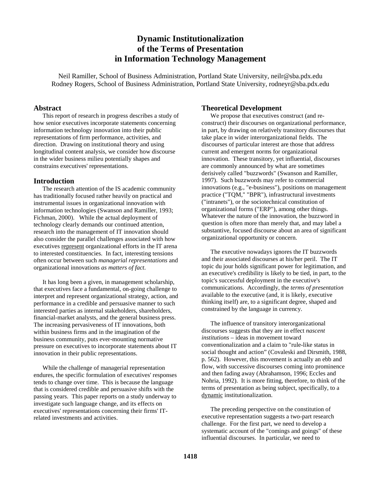## **Dynamic Institutionalization of the Terms of Presentation in Information Technology Management**

Neil Ramiller, School of Business Administration, Portland State University, neilr@sba.pdx.edu Rodney Rogers, School of Business Administration, Portland State University, rodneyr@sba.pdx.edu

#### **Abstract**

This report of research in progress describes a study of how senior executives incorporate statements concerning information technology innovation into their public representations of firm performance, activities, and direction. Drawing on institutional theory and using longitudinal content analysis, we consider how discourse in the wider business milieu potentially shapes and constrains executives' representations.

### **Introduction**

The research attention of the IS academic community has traditionally focused rather heavily on practical and instrumental issues in organizational innovation with information technologies (Swanson and Ramiller, 1993; Fichman, 2000). While the actual deployment of technology clearly demands our continued attention, research into the management of IT innovation should also consider the parallel challenges associated with how executives represent organizational efforts in the IT arena to interested constituencies. In fact, interesting tensions often occur between such *managerial representations* and organizational innovations *as matters of fact*.

It has long been a given, in management scholarship, that executives face a fundamental, on-going challenge to interpret and represent organizational strategy, action, and performance in a credible and persuasive manner to such interested parties as internal stakeholders, shareholders, financial-market analysts, and the general business press. The increasing pervasiveness of IT innovations, both within business firms and in the imagination of the business community, puts ever-mounting normative pressure on executives to incorporate statements about IT innovation in their public representations.

While the challenge of managerial representation endures, the specific formulation of executives' responses tends to change over time. This is because the language that is considered credible and persuasive shifts with the passing years. This paper reports on a study underway to investigate such language change, and its effects on executives' representations concerning their firms' ITrelated investments and activities.

### **Theoretical Development**

We propose that executives construct (and reconstruct) their discourses on organizational performance, in part, by drawing on relatively transitory discourses that take place in wider interorganizational fields. The discourses of particular interest are those that address current and emergent norms for organizational innovation. These transitory, yet influential, discourses are commonly announced by what are sometimes derisively called "buzzwords" (Swanson and Ramiller, 1997). Such buzzwords may refer to commercial innovations (e.g., "e-business"), positions on management practice ("TQM," "BPR"), infrastructural investments ("intranets"), or the sociotechnical constitution of organizational forms ("ERP"), among other things. Whatever the nature of the innovation, the buzzword in question is often more than merely that, and may label a substantive, focused discourse about an area of significant organizational opportunity or concern.

The executive nowadays ignores the IT buzzwords and their associated discourses at his/her peril. The IT topic du jour holds significant power for legitimation, and an executive's credibility is likely to be tied, in part, to the topic's successful deployment in the executive's communications. Accordingly, the *terms of presentation* available to the executive (and, it is likely, executive thinking itself) are, to a significant degree, shaped and constrained by the language in currency.

The influence of transitory interorganizational discourses suggests that they are in effect *nascent institutions* – ideas in movement toward conventionalization and a claim to "rule-like status in social thought and action" (Covaleski and Dirsmith, 1988, p. 562). However, this movement is actually an ebb and flow, with successive discourses coming into prominence and then fading away (Abrahamson, 1996; Eccles and Nohria, 1992). It is more fitting, therefore, to think of the terms of presentation as being subject, specifically, to a dynamic institutionalization.

The preceding perspective on the constitution of executive representation suggests a two-part research challenge. For the first part, we need to develop a systematic account of the "comings and goings" of these influential discourses. In particular, we need to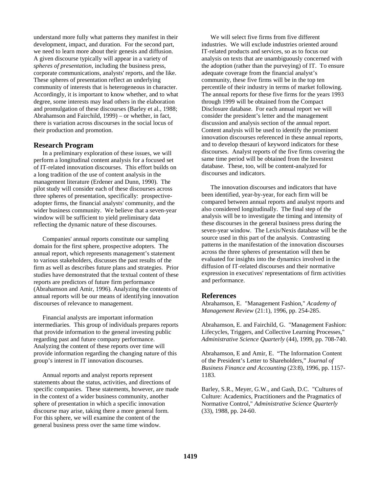understand more fully what patterns they manifest in their development, impact, and duration. For the second part, we need to learn more about their genesis and diffusion. A given discourse typically will appear in a variety of *spheres of presentation*, including the business press, corporate communications, analysts' reports, and the like. These spheres of presentation reflect an underlying community of interests that is heterogeneous in character. Accordingly, it is important to know whether, and to what degree, some interests may lead others in the elaboration and promulgation of these discourses (Barley et al., 1988; Abrahamson and Fairchild, 1999) – or whether, in fact, there is variation across discourses in the social locus of their production and promotion.

#### **Research Program**

In a preliminary exploration of these issues, we will perform a longitudinal content analysis for a focused set of IT-related innovation discourses. This effort builds on a long tradition of the use of content analysis in the management literature (Erdener and Dunn, 1990). The pilot study will consider each of these discourses across three spheres of presentation, specifically: prospectiveadopter firms, the financial analysts' community, and the wider business community. We believe that a seven-year window will be sufficient to yield preliminary data reflecting the dynamic nature of these discourses.

Companies' annual reports constitute our sampling domain for the first sphere, prospective adopters. The annual report, which represents management's statement to various stakeholders, discusses the past results of the firm as well as describes future plans and strategies. Prior studies have demonstrated that the textual content of these reports are predictors of future firm performance (Abrahamson and Amir, 1996). Analyzing the contents of annual reports will be our means of identifying innovation discourses of relevance to management.

Financial analysts are important information intermediaries. This group of individuals prepares reports that provide information to the general investing public regarding past and future company performance. Analyzing the content of these reports over time will provide information regarding the changing nature of this group's interest in IT innovation discourses.

Annual reports and analyst reports represent statements about the status, activities, and directions of specific companies. These statements, however, are made in the context of a wider business community, another sphere of presentation in which a specific innovation discourse may arise, taking there a more general form. For this sphere, we will examine the content of the general business press over the same time window.

We will select five firms from five different industries. We will exclude industries oriented around IT-related products and services, so as to focus our analysis on texts that are unambiguously concerned with the adoption (rather than the purveying) of IT. To ensure adequate coverage from the financial analyst's community, these five firms will be in the top ten percentile of their industry in terms of market following. The annual reports for these five firms for the years 1993 through 1999 will be obtained from the Compact Disclosure database. For each annual report we will consider the president's letter and the management discussion and analysis section of the annual report. Content analysis will be used to identify the prominent innovation discourses referenced in these annual reports, and to develop thesauri of keyword indicators for these discourses. Analyst reports of the five firms covering the same time period will be obtained from the Investext database. These, too, will be content-analyzed for discourses and indicators.

The innovation discourses and indicators that have been identified, year-by-year, for each firm will be compared between annual reports and analyst reports and also considered longitudinally. The final step of the analysis will be to investigate the timing and intensity of these discourses in the general business press during the seven-year window. The Lexis/Nexis database will be the source used in this part of the analysis. Contrasting patterns in the manifestation of the innovation discourses across the three spheres of presentation will then be evaluated for insights into the dynamics involved in the diffusion of IT-related discourses and their normative expression in executives' representations of firm activities and performance.

#### **References**

Abrahamson, E. "Management Fashion," *Academy of Management Review* (21:1), 1996, pp. 254-285.

Abrahamson, E. and Fairchild, G. "Management Fashion: Lifecycles, Triggers, and Collective Learning Processes," *Administrative Science Quarterly* (44), 1999, pp. 708-740.

Abrahamson, E and Amir, E. "The Information Content of the President's Letter to Shareholders," *Journal of Business Finance and Accounting* (23:8), 1996, pp. 1157- 1183.

Barley, S.R., Meyer, G.W., and Gash, D.C. "Cultures of Culture: Academics, Practitioners and the Pragmatics of Normative Control," *Administrative Science Quarterly* (33), 1988, pp. 24-60.